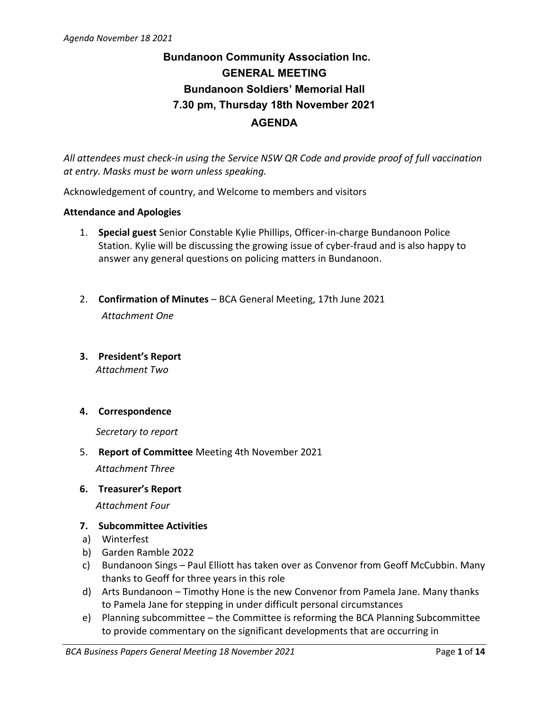# **Bundanoon Community Association Inc. GENERAL MEETING Bundanoon Soldiers' Memorial Hall 7.30 pm, Thursday 18th November 2021 AGENDA**

*All attendees must check-in using the Service NSW QR Code and provide proof of full vaccination at entry. Masks must be worn unless speaking.*

Acknowledgement of country, and Welcome to members and visitors

#### **Attendance and Apologies**

- 1. **Special guest** Senior Constable Kylie Phillips, Officer-in-charge Bundanoon Police Station. Kylie will be discussing the growing issue of cyber-fraud and is also happy to answer any general questions on policing matters in Bundanoon.
- 2. **Confirmation of Minutes** BCA General Meeting, 17th June 2021 *Attachment One*
- **3. President's Report** *Attachment Two*

#### **4. Correspondence**

*Secretary to report*

5. **Report of Committee** Meeting 4th November 2021

*Attachment Three*

**6. Treasurer's Report**

*Attachment Four*

- **7. Subcommittee Activities**
- a) Winterfest
- b) Garden Ramble 2022
- c) Bundanoon Sings Paul Elliott has taken over as Convenor from Geoff McCubbin. Many thanks to Geoff for three years in this role
- d) Arts Bundanoon Timothy Hone is the new Convenor from Pamela Jane. Many thanks to Pamela Jane for stepping in under difficult personal circumstances
- e) Planning subcommittee the Committee is reforming the BCA Planning Subcommittee to provide commentary on the significant developments that are occurring in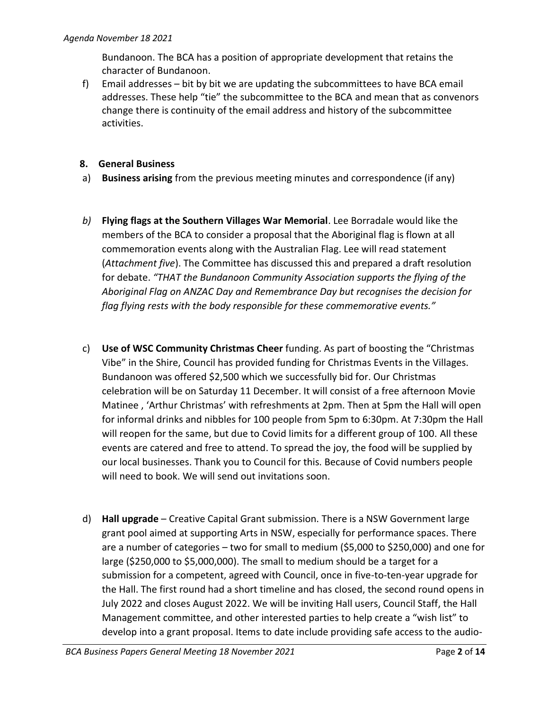Bundanoon. The BCA has a position of appropriate development that retains the character of Bundanoon.

f) Email addresses – bit by bit we are updating the subcommittees to have BCA email addresses. These help "tie" the subcommittee to the BCA and mean that as convenors change there is continuity of the email address and history of the subcommittee activities.

#### **8. General Business**

- a) **Business arising** from the previous meeting minutes and correspondence (if any)
- *b)* **Flying flags at the Southern Villages War Memorial**. Lee Borradale would like the members of the BCA to consider a proposal that the Aboriginal flag is flown at all commemoration events along with the Australian Flag. Lee will read statement (*Attachment five*). The Committee has discussed this and prepared a draft resolution for debate. *"THAT the Bundanoon Community Association supports the flying of the Aboriginal Flag on ANZAC Day and Remembrance Day but recognises the decision for flag flying rests with the body responsible for these commemorative events."*
- c) **Use of WSC Community Christmas Cheer** funding. As part of boosting the "Christmas Vibe" in the Shire, Council has provided funding for Christmas Events in the Villages. Bundanoon was offered \$2,500 which we successfully bid for. Our Christmas celebration will be on Saturday 11 December. It will consist of a free afternoon Movie Matinee , 'Arthur Christmas' with refreshments at 2pm. Then at 5pm the Hall will open for informal drinks and nibbles for 100 people from 5pm to 6:30pm. At 7:30pm the Hall will reopen for the same, but due to Covid limits for a different group of 100. All these events are catered and free to attend. To spread the joy, the food will be supplied by our local businesses. Thank you to Council for this. Because of Covid numbers people will need to book. We will send out invitations soon.
- d) **Hall upgrade** Creative Capital Grant submission. There is a NSW Government large grant pool aimed at supporting Arts in NSW, especially for performance spaces. There are a number of categories – two for small to medium (\$5,000 to \$250,000) and one for large (\$250,000 to \$5,000,000). The small to medium should be a target for a submission for a competent, agreed with Council, once in five-to-ten-year upgrade for the Hall. The first round had a short timeline and has closed, the second round opens in July 2022 and closes August 2022. We will be inviting Hall users, Council Staff, the Hall Management committee, and other interested parties to help create a "wish list" to develop into a grant proposal. Items to date include providing safe access to the audio-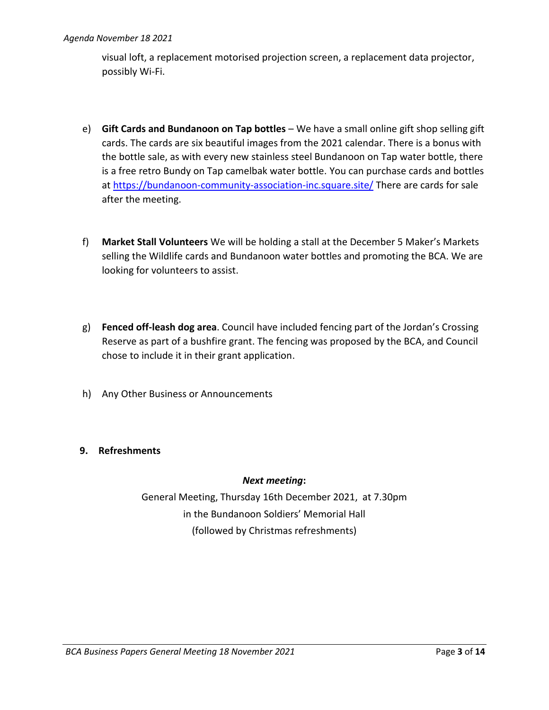visual loft, a replacement motorised projection screen, a replacement data projector, possibly Wi-Fi.

- e) **Gift Cards and Bundanoon on Tap bottles** We have a small online gift shop selling gift cards. The cards are six beautiful images from the 2021 calendar. There is a bonus with the bottle sale, as with every new stainless steel Bundanoon on Tap water bottle, there is a free retro Bundy on Tap camelbak water bottle. You can purchase cards and bottles at<https://bundanoon-community-association-inc.square.site/> There are cards for sale after the meeting.
- f) **Market Stall Volunteers** We will be holding a stall at the December 5 Maker's Markets selling the Wildlife cards and Bundanoon water bottles and promoting the BCA. We are looking for volunteers to assist.
- g) **Fenced off-leash dog area**. Council have included fencing part of the Jordan's Crossing Reserve as part of a bushfire grant. The fencing was proposed by the BCA, and Council chose to include it in their grant application.
- h) Any Other Business or Announcements

### **9. Refreshments**

#### *Next meeting***:**

General Meeting, Thursday 16th December 2021, at 7.30pm in the Bundanoon Soldiers' Memorial Hall (followed by Christmas refreshments)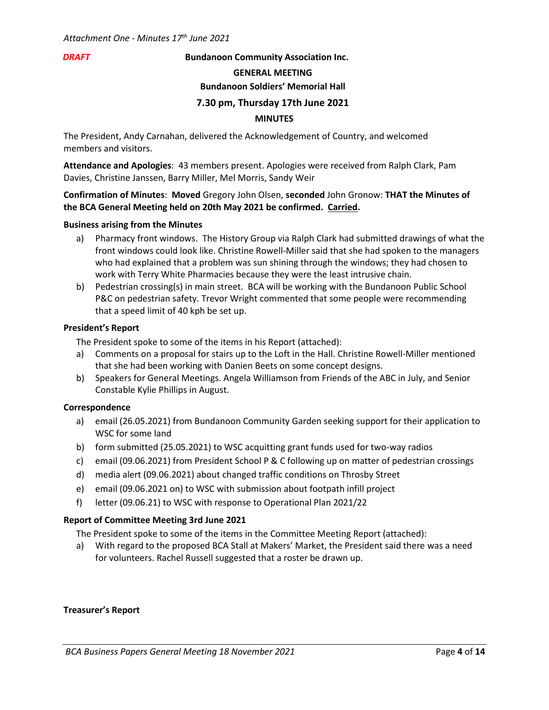#### *DRAFT* **Bundanoon Community Association Inc.**

#### **GENERAL MEETING**

#### **Bundanoon Soldiers' Memorial Hall**

#### **7.30 pm, Thursday 17th June 2021**

#### **MINUTES**

The President, Andy Carnahan, delivered the Acknowledgement of Country, and welcomed members and visitors.

**Attendance and Apologies**: 43 members present. Apologies were received from Ralph Clark, Pam Davies, Christine Janssen, Barry Miller, Mel Morris, Sandy Weir

#### **Confirmation of Minutes**: **Moved** Gregory John Olsen, **seconded** John Gronow: **THAT the Minutes of the BCA General Meeting held on 20th May 2021 be confirmed. Carried.**

#### **Business arising from the Minutes**

- a) Pharmacy front windows. The History Group via Ralph Clark had submitted drawings of what the front windows could look like. Christine Rowell-Miller said that she had spoken to the managers who had explained that a problem was sun shining through the windows; they had chosen to work with Terry White Pharmacies because they were the least intrusive chain.
- b) Pedestrian crossing(s) in main street. BCA will be working with the Bundanoon Public School P&C on pedestrian safety. Trevor Wright commented that some people were recommending that a speed limit of 40 kph be set up.

#### **President's Report**

The President spoke to some of the items in his Report (attached):

- a) Comments on a proposal for stairs up to the Loft in the Hall. Christine Rowell-Miller mentioned that she had been working with Danien Beets on some concept designs.
- b) Speakers for General Meetings. Angela Williamson from Friends of the ABC in July, and Senior Constable Kylie Phillips in August.

#### **Correspondence**

- a) email (26.05.2021) from Bundanoon Community Garden seeking support for their application to WSC for some land
- b) form submitted (25.05.2021) to WSC acquitting grant funds used for two-way radios
- c) email (09.06.2021) from President School P & C following up on matter of pedestrian crossings
- d) media alert (09.06.2021) about changed traffic conditions on Throsby Street
- e) email (09.06.2021 on) to WSC with submission about footpath infill project
- f) letter (09.06.21) to WSC with response to Operational Plan 2021/22

#### **Report of Committee Meeting 3rd June 2021**

The President spoke to some of the items in the Committee Meeting Report (attached):

a) With regard to the proposed BCA Stall at Makers' Market, the President said there was a need for volunteers. Rachel Russell suggested that a roster be drawn up.

#### **Treasurer's Report**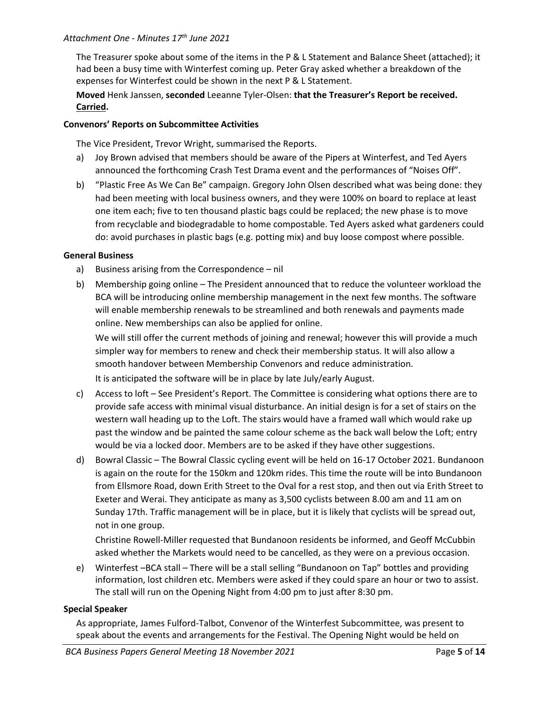#### *Attachment One - Minutes 17th June 2021*

The Treasurer spoke about some of the items in the P & L Statement and Balance Sheet (attached); it had been a busy time with Winterfest coming up. Peter Gray asked whether a breakdown of the expenses for Winterfest could be shown in the next P & L Statement.

**Moved** Henk Janssen, **seconded** Leeanne Tyler-Olsen: **that the Treasurer's Report be received. Carried.**

#### **Convenors' Reports on Subcommittee Activities**

The Vice President, Trevor Wright, summarised the Reports.

- a) Joy Brown advised that members should be aware of the Pipers at Winterfest, and Ted Ayers announced the forthcoming Crash Test Drama event and the performances of "Noises Off".
- b) "Plastic Free As We Can Be" campaign. Gregory John Olsen described what was being done: they had been meeting with local business owners, and they were 100% on board to replace at least one item each; five to ten thousand plastic bags could be replaced; the new phase is to move from recyclable and biodegradable to home compostable. Ted Ayers asked what gardeners could do: avoid purchases in plastic bags (e.g. potting mix) and buy loose compost where possible.

#### **General Business**

- a) Business arising from the Correspondence nil
- b) Membership going online The President announced that to reduce the volunteer workload the BCA will be introducing online membership management in the next few months. The software will enable membership renewals to be streamlined and both renewals and payments made online. New memberships can also be applied for online.

We will still offer the current methods of joining and renewal; however this will provide a much simpler way for members to renew and check their membership status. It will also allow a smooth handover between Membership Convenors and reduce administration.

It is anticipated the software will be in place by late July/early August.

- c) Access to loft See President's Report. The Committee is considering what options there are to provide safe access with minimal visual disturbance. An initial design is for a set of stairs on the western wall heading up to the Loft. The stairs would have a framed wall which would rake up past the window and be painted the same colour scheme as the back wall below the Loft; entry would be via a locked door. Members are to be asked if they have other suggestions.
- d) Bowral Classic The Bowral Classic cycling event will be held on 16-17 October 2021. Bundanoon is again on the route for the 150km and 120km rides. This time the route will be into Bundanoon from Ellsmore Road, down Erith Street to the Oval for a rest stop, and then out via Erith Street to Exeter and Werai. They anticipate as many as 3,500 cyclists between 8.00 am and 11 am on Sunday 17th. Traffic management will be in place, but it is likely that cyclists will be spread out, not in one group.

Christine Rowell-Miller requested that Bundanoon residents be informed, and Geoff McCubbin asked whether the Markets would need to be cancelled, as they were on a previous occasion.

e) Winterfest –BCA stall – There will be a stall selling "Bundanoon on Tap" bottles and providing information, lost children etc. Members were asked if they could spare an hour or two to assist. The stall will run on the Opening Night from 4:00 pm to just after 8:30 pm.

#### **Special Speaker**

As appropriate, James Fulford-Talbot, Convenor of the Winterfest Subcommittee, was present to speak about the events and arrangements for the Festival. The Opening Night would be held on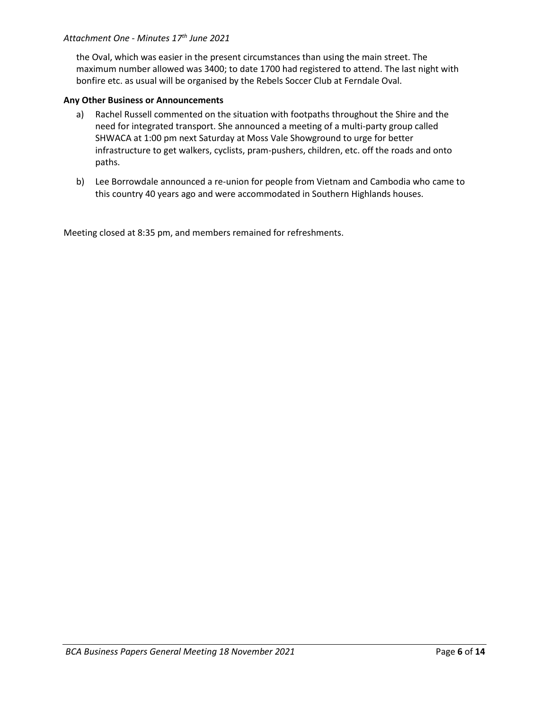#### *Attachment One - Minutes 17th June 2021*

the Oval, which was easier in the present circumstances than using the main street. The maximum number allowed was 3400; to date 1700 had registered to attend. The last night with bonfire etc. as usual will be organised by the Rebels Soccer Club at Ferndale Oval.

#### **Any Other Business or Announcements**

- a) Rachel Russell commented on the situation with footpaths throughout the Shire and the need for integrated transport. She announced a meeting of a multi-party group called SHWACA at 1:00 pm next Saturday at Moss Vale Showground to urge for better infrastructure to get walkers, cyclists, pram-pushers, children, etc. off the roads and onto paths.
- b) Lee Borrowdale announced a re-union for people from Vietnam and Cambodia who came to this country 40 years ago and were accommodated in Southern Highlands houses.

Meeting closed at 8:35 pm, and members remained for refreshments.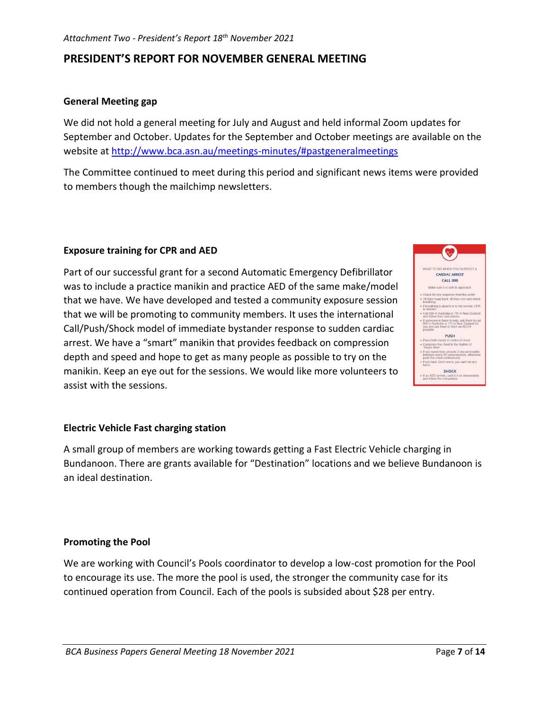### **PRESIDENT'S REPORT FOR NOVEMBER GENERAL MEETING**

#### **General Meeting gap**

We did not hold a general meeting for July and August and held informal Zoom updates for September and October. Updates for the September and October meetings are available on the website at<http://www.bca.asn.au/meetings-minutes/#pastgeneralmeetings>

The Committee continued to meet during this period and significant news items were provided to members though the mailchimp newsletters.

#### **Exposure training for CPR and AED**

Part of our successful grant for a second Automatic Emergency Defibrillator was to include a practice manikin and practice AED of the same make/model that we have. We have developed and tested a community exposure session that we will be promoting to community members. It uses the international Call/Push/Shock model of immediate bystander response to sudden cardiac arrest. We have a "smart" manikin that provides feedback on compression depth and speed and hope to get as many people as possible to try on the manikin. Keep an eye out for the sessions. We would like more volunteers to assist with the sessions.



#### **Electric Vehicle Fast charging station**

A small group of members are working towards getting a Fast Electric Vehicle charging in Bundanoon. There are grants available for "Destination" locations and we believe Bundanoon is an ideal destination.

#### **Promoting the Pool**

We are working with Council's Pools coordinator to develop a low-cost promotion for the Pool to encourage its use. The more the pool is used, the stronger the community case for its continued operation from Council. Each of the pools is subsided about \$28 per entry.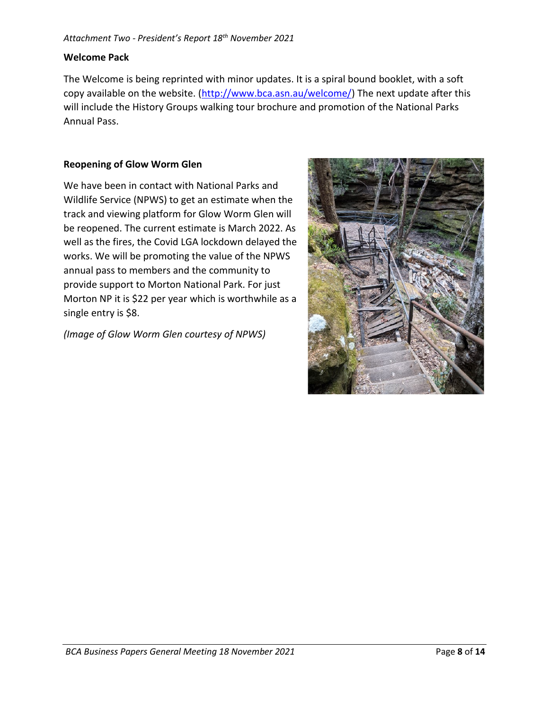#### **Welcome Pack**

The Welcome is being reprinted with minor updates. It is a spiral bound booklet, with a soft copy available on the website. [\(http://www.bca.asn.au/welcome/\)](http://www.bca.asn.au/welcome/) The next update after this will include the History Groups walking tour brochure and promotion of the National Parks Annual Pass.

#### **Reopening of Glow Worm Glen**

We have been in contact with National Parks and Wildlife Service (NPWS) to get an estimate when the track and viewing platform for Glow Worm Glen will be reopened. The current estimate is March 2022. As well as the fires, the Covid LGA lockdown delayed the works. We will be promoting the value of the NPWS annual pass to members and the community to provide support to Morton National Park. For just Morton NP it is \$22 per year which is worthwhile as a single entry is \$8.

*(Image of Glow Worm Glen courtesy of NPWS)*

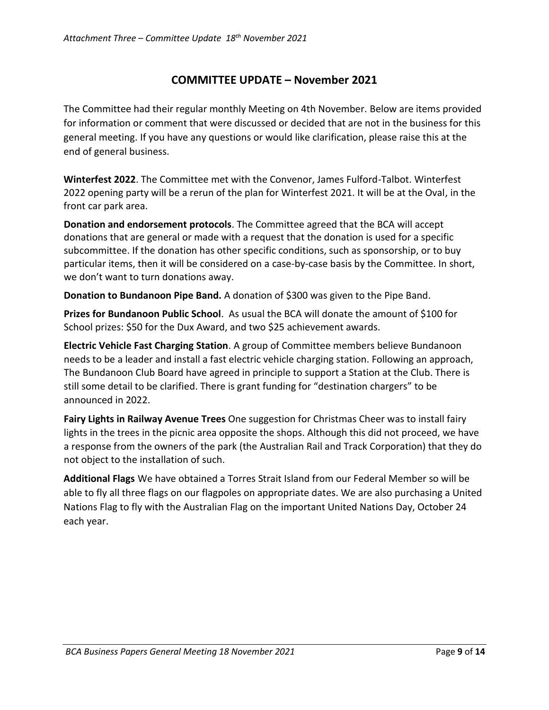## **COMMITTEE UPDATE – November 2021**

The Committee had their regular monthly Meeting on 4th November. Below are items provided for information or comment that were discussed or decided that are not in the business for this general meeting. If you have any questions or would like clarification, please raise this at the end of general business.

**Winterfest 2022**. The Committee met with the Convenor, James Fulford-Talbot. Winterfest 2022 opening party will be a rerun of the plan for Winterfest 2021. It will be at the Oval, in the front car park area.

**Donation and endorsement protocols**. The Committee agreed that the BCA will accept donations that are general or made with a request that the donation is used for a specific subcommittee. If the donation has other specific conditions, such as sponsorship, or to buy particular items, then it will be considered on a case-by-case basis by the Committee. In short, we don't want to turn donations away.

**Donation to Bundanoon Pipe Band.** A donation of \$300 was given to the Pipe Band.

**Prizes for Bundanoon Public School**. As usual the BCA will donate the amount of \$100 for School prizes: \$50 for the Dux Award, and two \$25 achievement awards.

**Electric Vehicle Fast Charging Station**. A group of Committee members believe Bundanoon needs to be a leader and install a fast electric vehicle charging station. Following an approach, The Bundanoon Club Board have agreed in principle to support a Station at the Club. There is still some detail to be clarified. There is grant funding for "destination chargers" to be announced in 2022.

**Fairy Lights in Railway Avenue Trees** One suggestion for Christmas Cheer was to install fairy lights in the trees in the picnic area opposite the shops. Although this did not proceed, we have a response from the owners of the park (the Australian Rail and Track Corporation) that they do not object to the installation of such.

**Additional Flags** We have obtained a Torres Strait Island from our Federal Member so will be able to fly all three flags on our flagpoles on appropriate dates. We are also purchasing a United Nations Flag to fly with the Australian Flag on the important United Nations Day, October 24 each year.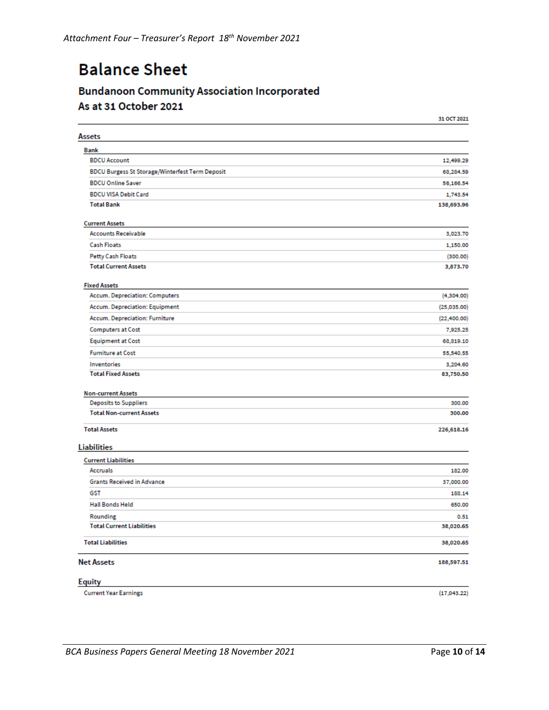# **Balance Sheet**

# **Bundanoon Community Association Incorporated** As at 31 October 2021

|                                                         | <b>AT ACT TAKE</b>     |
|---------------------------------------------------------|------------------------|
| <b>Assets</b>                                           |                        |
| <b>Bank</b><br><b>BDCU Account</b>                      |                        |
| <b>BDCU Burgess St Storage/Winterfest Term Deposit</b>  | 12,499.29              |
|                                                         | 68,284.59              |
| <b>BDCU Online Saver</b><br><b>BDCU VISA Debit Card</b> | 56,166.54              |
| <b>Total Bank</b>                                       | 1,743.54<br>138,693.96 |
|                                                         |                        |
| <b>Current Assets</b>                                   |                        |
| <b>Accounts Receivable</b>                              | 3,023.70               |
| <b>Cash Floats</b>                                      | 1,150.00               |
| Petty Cash Floats                                       | (300.00)               |
| <b>Total Current Assets</b>                             | 3,873.70               |
| <b>Fixed Assets</b>                                     |                        |
| Accum. Depreciation: Computers                          | (4,304.00)             |
| Accum. Depreciation: Equipment                          | (25,035.00)            |
| Accum. Depreciation: Furniture                          | (22, 400.00)           |
| Computers at Cost                                       | 7,925.25               |
| <b>Equipment at Cost</b>                                | 68,819.10              |
| <b>Furniture at Cost</b>                                | 55,540.55              |
| Inventories                                             | 3,204.60               |
| <b>Total Fixed Assets</b>                               | 83,750.50              |
| <b>Non-current Assets</b>                               |                        |
| <b>Deposits to Suppliers</b>                            | 300.00                 |
| <b>Total Non-current Assets</b>                         | 300.00                 |
| <b>Total Assets</b>                                     | 226,618.16             |
| <b>Liabilities</b>                                      |                        |
| <b>Current Liabilities</b>                              |                        |
| Accruals                                                | 182.00                 |
| <b>Grants Received in Advance</b>                       | 37,000.00              |
| GST                                                     | 188.14                 |
| <b>Hall Bonds Held</b>                                  | 650.00                 |
| Rounding                                                | 0.51                   |
| <b>Total Current Liabilities</b>                        | 38,020.65              |
| <b>Total Liabilities</b>                                | 38,020.65              |
| <b>Net Assets</b>                                       | 188,597.51             |
| <b>Equity</b>                                           |                        |
| <b>Current Year Earnings</b>                            | (17,043.22)            |

31 0CT 2021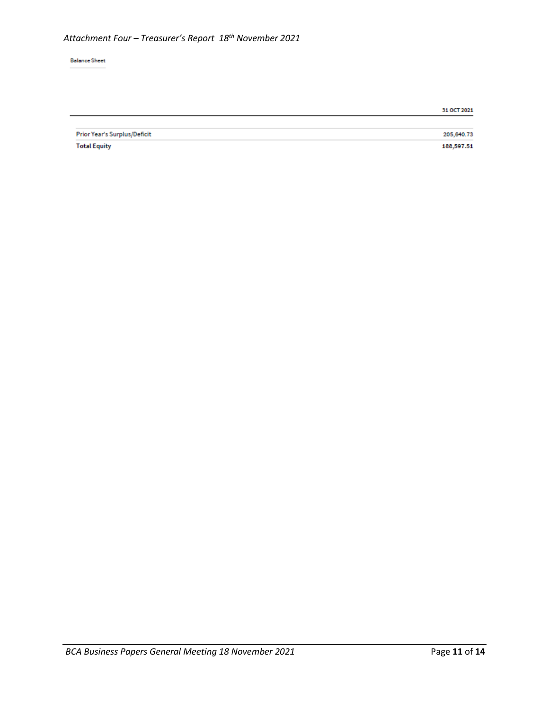#### **Balance Sheet**

| Prior Year's Surplus/Deficit | 205,640.73 |
|------------------------------|------------|
| <b>Total Equity</b>          | 188,597.51 |

31 OCT 2021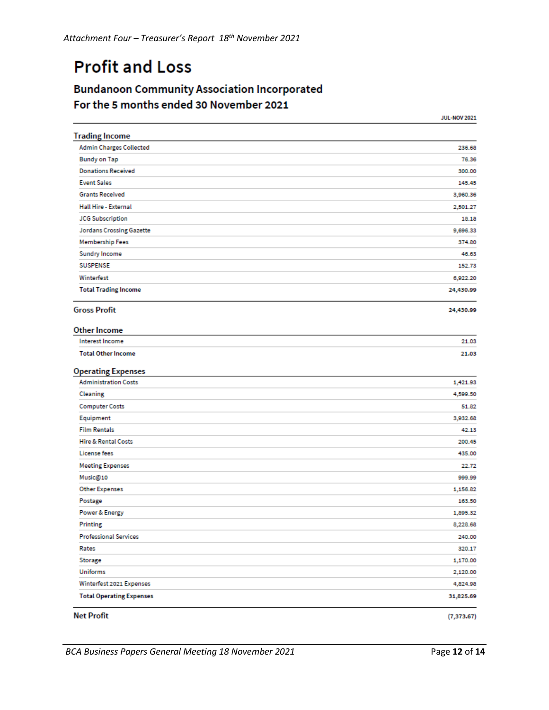# **Profit and Loss**

# **Bundanoon Community Association Incorporated** For the 5 months ended 30 November 2021

|                                 | <b>JUL-NOV 2021</b> |
|---------------------------------|---------------------|
| <b>Trading Income</b>           |                     |
| <b>Admin Charges Collected</b>  | 236.68              |
| <b>Bundy on Tap</b>             | 76.36               |
| <b>Donations Received</b>       | 300.00              |
| <b>Event Sales</b>              | 145.45              |
| <b>Grants Received</b>          | 3,960.36            |
| <b>Hall Hire - External</b>     | 2,501.27            |
| <b>JCG Subscription</b>         | 18.18               |
| <b>Jordans Crossing Gazette</b> | 9,696.33            |
| <b>Membership Fees</b>          | 374.80              |
| Sundry Income                   | 46.63               |
| <b>SUSPENSE</b>                 | 152.73              |
| Winterfest                      | 6,922.20            |
| <b>Total Trading Income</b>     | 24,430.99           |
| <b>Gross Profit</b>             | 24,430.99           |
| <b>Other Income</b>             |                     |
| <b>Interest Income</b>          | 21.03               |
| <b>Total Other Income</b>       | 21.03               |
| <b>Operating Expenses</b>       |                     |
| <b>Administration Costs</b>     | 1,421.93            |
| Cleaning                        | 4,599.50            |
| <b>Computer Costs</b>           | 51.82               |
| Equipment                       | 3,932.68            |
| <b>Film Rentals</b>             | 42.13               |
| <b>Hire &amp; Rental Costs</b>  | 200.45              |
| License fees                    | 435.00              |
| <b>Meeting Expenses</b>         | 22.72               |
| Music@10                        | 999.99              |
| <b>Other Expenses</b>           | 1,156.82            |
| Postage                         | 163.50              |
| Power & Energy                  | 1,895.32            |
| Printing                        | 8,228.68            |
| <b>Professional Services</b>    | 240.00              |
| Rates                           | 320.17              |
| Storage                         | 1,170.00            |
| Uniforms                        | 2,120.00            |
| Winterfest 2021 Expenses        | 4,824.98            |
| <b>Total Operating Expenses</b> | 31,825.69           |
| <b>Net Profit</b>               | (7, 373.67)         |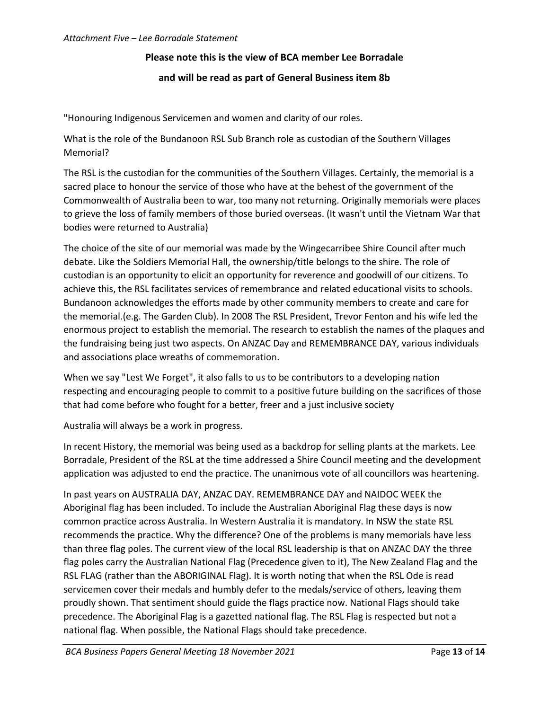### **Please note this is the view of BCA member Lee Borradale**

#### **and will be read as part of General Business item 8b**

"Honouring Indigenous Servicemen and women and clarity of our roles.

What is the role of the Bundanoon RSL Sub Branch role as custodian of the Southern Villages Memorial?

The RSL is the custodian for the communities of the Southern Villages. Certainly, the memorial is a sacred place to honour the service of those who have at the behest of the government of the Commonwealth of Australia been to war, too many not returning. Originally memorials were places to grieve the loss of family members of those buried overseas. (It wasn't until the Vietnam War that bodies were returned to Australia)

The choice of the site of our memorial was made by the Wingecarribee Shire Council after much debate. Like the Soldiers Memorial Hall, the ownership/title belongs to the shire. The role of custodian is an opportunity to elicit an opportunity for reverence and goodwill of our citizens. To achieve this, the RSL facilitates services of remembrance and related educational visits to schools. Bundanoon acknowledges the efforts made by other community members to create and care for the memorial.(e.g. The Garden Club). In 2008 The RSL President, Trevor Fenton and his wife led the enormous project to establish the memorial. The research to establish the names of the plaques and the fundraising being just two aspects. On ANZAC Day and REMEMBRANCE DAY, various individuals and associations place wreaths of commemoration.

When we say "Lest We Forget", it also falls to us to be contributors to a developing nation respecting and encouraging people to commit to a positive future building on the sacrifices of those that had come before who fought for a better, freer and a just inclusive society

Australia will always be a work in progress.

In recent History, the memorial was being used as a backdrop for selling plants at the markets. Lee Borradale, President of the RSL at the time addressed a Shire Council meeting and the development application was adjusted to end the practice. The unanimous vote of all councillors was heartening.

In past years on AUSTRALIA DAY, ANZAC DAY. REMEMBRANCE DAY and NAIDOC WEEK the Aboriginal flag has been included. To include the Australian Aboriginal Flag these days is now common practice across Australia. In Western Australia it is mandatory. In NSW the state RSL recommends the practice. Why the difference? One of the problems is many memorials have less than three flag poles. The current view of the local RSL leadership is that on ANZAC DAY the three flag poles carry the Australian National Flag (Precedence given to it), The New Zealand Flag and the RSL FLAG (rather than the ABORIGINAL Flag). It is worth noting that when the RSL Ode is read servicemen cover their medals and humbly defer to the medals/service of others, leaving them proudly shown. That sentiment should guide the flags practice now. National Flags should take precedence. The Aboriginal Flag is a gazetted national flag. The RSL Flag is respected but not a national flag. When possible, the National Flags should take precedence.